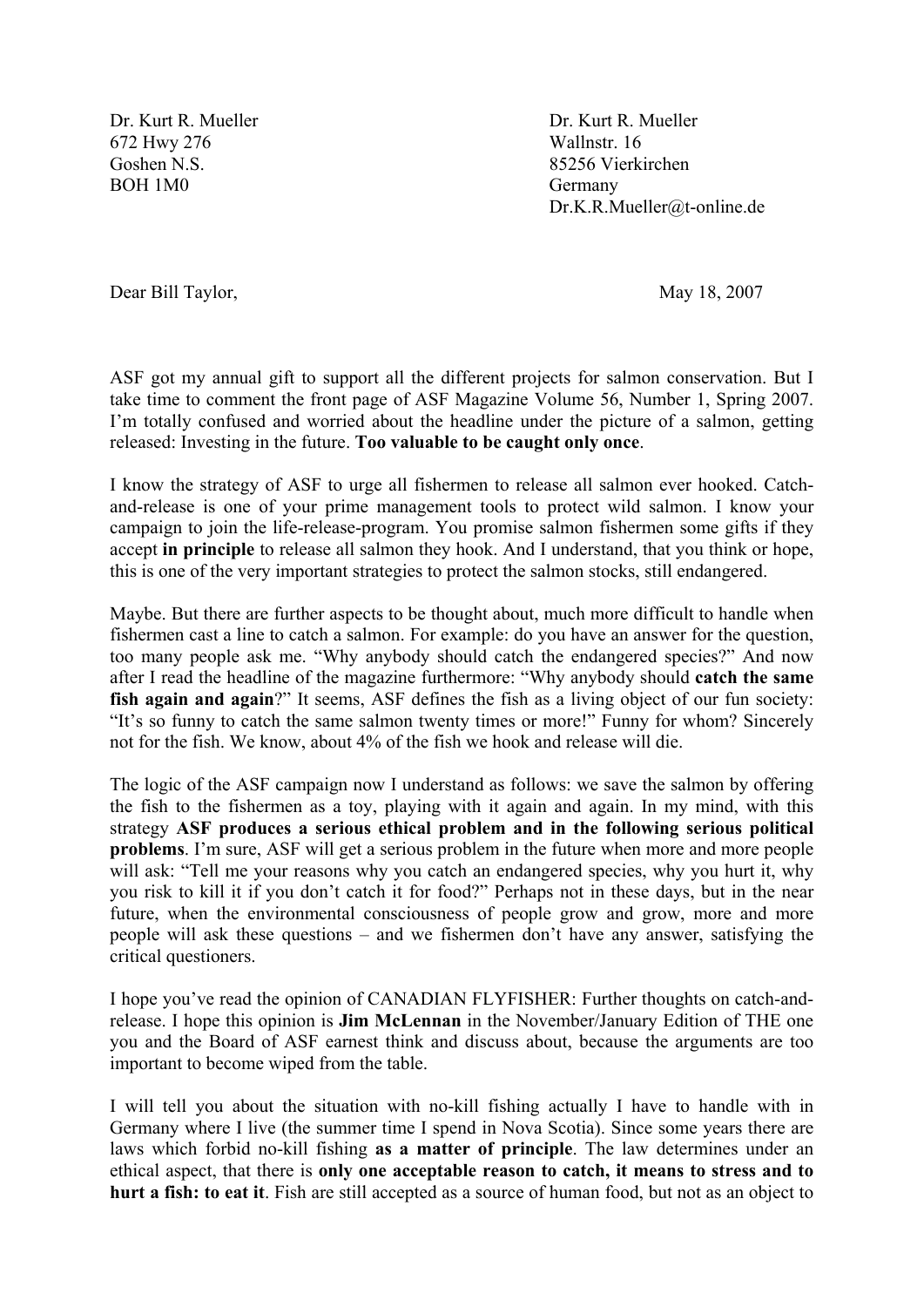672 Hwy 276 Wallnstr. 16 Goshen N.S. 85256 Vierkirchen BOH 1M0 Germany

Dr. Kurt R. Mueller Dr. Kurt R. Mueller Dr.K.R.Mueller@t-online.de

Dear Bill Taylor, May 18, 2007

ASF got my annual gift to support all the different projects for salmon conservation. But I take time to comment the front page of ASF Magazine Volume 56, Number 1, Spring 2007. I'm totally confused and worried about the headline under the picture of a salmon, getting released: Investing in the future. **Too valuable to be caught only once**.

I know the strategy of ASF to urge all fishermen to release all salmon ever hooked. Catchand-release is one of your prime management tools to protect wild salmon. I know your campaign to join the life-release-program. You promise salmon fishermen some gifts if they accept **in principle** to release all salmon they hook. And I understand, that you think or hope, this is one of the very important strategies to protect the salmon stocks, still endangered.

Maybe. But there are further aspects to be thought about, much more difficult to handle when fishermen cast a line to catch a salmon. For example: do you have an answer for the question, too many people ask me. "Why anybody should catch the endangered species?" And now after I read the headline of the magazine furthermore: "Why anybody should **catch the same**  fish again and again?" It seems, ASF defines the fish as a living object of our fun society: "It's so funny to catch the same salmon twenty times or more!" Funny for whom? Sincerely not for the fish. We know, about 4% of the fish we hook and release will die.

The logic of the ASF campaign now I understand as follows: we save the salmon by offering the fish to the fishermen as a toy, playing with it again and again. In my mind, with this strategy **ASF produces a serious ethical problem and in the following serious political problems**. I'm sure, ASF will get a serious problem in the future when more and more people will ask: "Tell me your reasons why you catch an endangered species, why you hurt it, why you risk to kill it if you don't catch it for food?" Perhaps not in these days, but in the near future, when the environmental consciousness of people grow and grow, more and more people will ask these questions – and we fishermen don't have any answer, satisfying the critical questioners.

I hope you've read the opinion of CANADIAN FLYFISHER: Further thoughts on catch-andrelease. I hope this opinion is **Jim McLennan** in the November/January Edition of THE one you and the Board of ASF earnest think and discuss about, because the arguments are too important to become wiped from the table.

I will tell you about the situation with no-kill fishing actually I have to handle with in Germany where I live (the summer time I spend in Nova Scotia). Since some years there are laws which forbid no-kill fishing **as a matter of principle**. The law determines under an ethical aspect, that there is **only one acceptable reason to catch, it means to stress and to hurt a fish: to eat it**. Fish are still accepted as a source of human food, but not as an object to